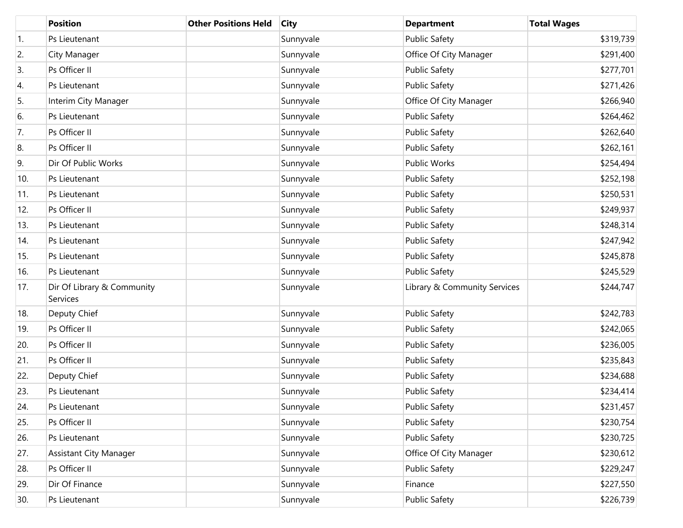|     | <b>Position</b>                        | <b>Other Positions Held</b> | <b>City</b> | <b>Department</b>            | <b>Total Wages</b> |
|-----|----------------------------------------|-----------------------------|-------------|------------------------------|--------------------|
| 1.  | Ps Lieutenant                          |                             | Sunnyvale   | <b>Public Safety</b>         | \$319,739          |
| 2.  | City Manager                           |                             | Sunnyvale   | Office Of City Manager       | \$291,400          |
| 3.  | Ps Officer II                          |                             | Sunnyvale   | <b>Public Safety</b>         | \$277,701          |
| 4.  | Ps Lieutenant                          |                             | Sunnyvale   | <b>Public Safety</b>         | \$271,426          |
| 5.  | Interim City Manager                   |                             | Sunnyvale   | Office Of City Manager       | \$266,940          |
| 6.  | Ps Lieutenant                          |                             | Sunnyvale   | <b>Public Safety</b>         | \$264,462          |
| 7.  | Ps Officer II                          |                             | Sunnyvale   | <b>Public Safety</b>         | \$262,640          |
| 8.  | Ps Officer II                          |                             | Sunnyvale   | <b>Public Safety</b>         | \$262,161          |
| 9.  | Dir Of Public Works                    |                             | Sunnyvale   | <b>Public Works</b>          | \$254,494          |
| 10. | Ps Lieutenant                          |                             | Sunnyvale   | <b>Public Safety</b>         | \$252,198          |
| 11. | Ps Lieutenant                          |                             | Sunnyvale   | <b>Public Safety</b>         | \$250,531          |
| 12. | Ps Officer II                          |                             | Sunnyvale   | <b>Public Safety</b>         | \$249,937          |
| 13. | Ps Lieutenant                          |                             | Sunnyvale   | <b>Public Safety</b>         | \$248,314          |
| 14. | Ps Lieutenant                          |                             | Sunnyvale   | <b>Public Safety</b>         | \$247,942          |
| 15. | Ps Lieutenant                          |                             | Sunnyvale   | <b>Public Safety</b>         | \$245,878          |
| 16. | Ps Lieutenant                          |                             | Sunnyvale   | <b>Public Safety</b>         | \$245,529          |
| 17. | Dir Of Library & Community<br>Services |                             | Sunnyvale   | Library & Community Services | \$244,747          |
| 18. | Deputy Chief                           |                             | Sunnyvale   | <b>Public Safety</b>         | \$242,783          |
| 19. | Ps Officer II                          |                             | Sunnyvale   | <b>Public Safety</b>         | \$242,065          |
| 20. | Ps Officer II                          |                             | Sunnyvale   | <b>Public Safety</b>         | \$236,005          |
| 21. | Ps Officer II                          |                             | Sunnyvale   | <b>Public Safety</b>         | \$235,843          |
| 22. | Deputy Chief                           |                             | Sunnyvale   | <b>Public Safety</b>         | \$234,688          |
| 23. | Ps Lieutenant                          |                             | Sunnyvale   | <b>Public Safety</b>         | \$234,414          |
| 24. | Ps Lieutenant                          |                             | Sunnyvale   | <b>Public Safety</b>         | \$231,457          |
| 25. | Ps Officer II                          |                             | Sunnyvale   | <b>Public Safety</b>         | \$230,754          |
| 26. | Ps Lieutenant                          |                             | Sunnyvale   | <b>Public Safety</b>         | \$230,725          |
| 27. | <b>Assistant City Manager</b>          |                             | Sunnyvale   | Office Of City Manager       | \$230,612          |
| 28. | Ps Officer II                          |                             | Sunnyvale   | <b>Public Safety</b>         | \$229,247          |
| 29. | Dir Of Finance                         |                             | Sunnyvale   | Finance                      | \$227,550          |
| 30. | Ps Lieutenant                          |                             | Sunnyvale   | <b>Public Safety</b>         | \$226,739          |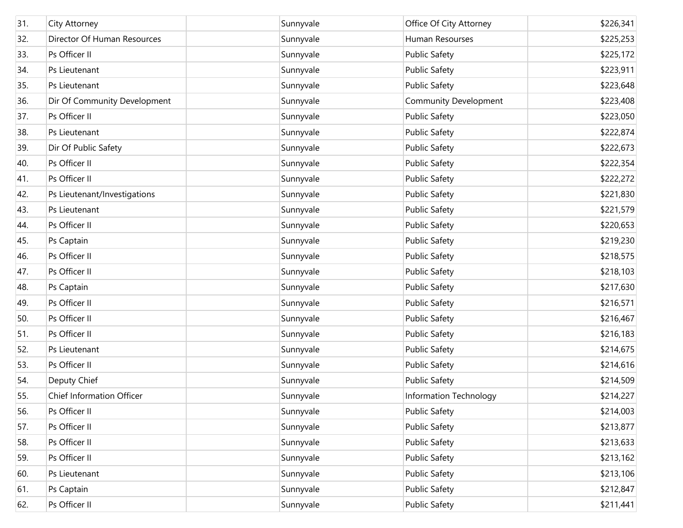| 31. | City Attorney                | Sunnyvale | Office Of City Attorney      | \$226,341 |
|-----|------------------------------|-----------|------------------------------|-----------|
| 32. | Director Of Human Resources  | Sunnyvale | Human Resourses              | \$225,253 |
| 33. | Ps Officer II                | Sunnyvale | <b>Public Safety</b>         | \$225,172 |
| 34. | Ps Lieutenant                | Sunnyvale | <b>Public Safety</b>         | \$223,911 |
| 35. | Ps Lieutenant                | Sunnyvale | <b>Public Safety</b>         | \$223,648 |
| 36. | Dir Of Community Development | Sunnyvale | <b>Community Development</b> | \$223,408 |
| 37. | Ps Officer II                | Sunnyvale | <b>Public Safety</b>         | \$223,050 |
| 38. | Ps Lieutenant                | Sunnyvale | <b>Public Safety</b>         | \$222,874 |
| 39. | Dir Of Public Safety         | Sunnyvale | <b>Public Safety</b>         | \$222,673 |
| 40. | Ps Officer II                | Sunnyvale | <b>Public Safety</b>         | \$222,354 |
| 41. | Ps Officer II                | Sunnyvale | <b>Public Safety</b>         | \$222,272 |
| 42. | Ps Lieutenant/Investigations | Sunnyvale | <b>Public Safety</b>         | \$221,830 |
| 43. | Ps Lieutenant                | Sunnyvale | <b>Public Safety</b>         | \$221,579 |
| 44. | Ps Officer II                | Sunnyvale | <b>Public Safety</b>         | \$220,653 |
| 45. | Ps Captain                   | Sunnyvale | <b>Public Safety</b>         | \$219,230 |
| 46. | Ps Officer II                | Sunnyvale | <b>Public Safety</b>         | \$218,575 |
| 47. | Ps Officer II                | Sunnyvale | <b>Public Safety</b>         | \$218,103 |
| 48. | Ps Captain                   | Sunnyvale | <b>Public Safety</b>         | \$217,630 |
| 49. | Ps Officer II                | Sunnyvale | <b>Public Safety</b>         | \$216,571 |
| 50. | Ps Officer II                | Sunnyvale | <b>Public Safety</b>         | \$216,467 |
| 51. | Ps Officer II                | Sunnyvale | <b>Public Safety</b>         | \$216,183 |
| 52. | Ps Lieutenant                | Sunnyvale | <b>Public Safety</b>         | \$214,675 |
| 53. | Ps Officer II                | Sunnyvale | <b>Public Safety</b>         | \$214,616 |
| 54. | Deputy Chief                 | Sunnyvale | <b>Public Safety</b>         | \$214,509 |
| 55. | Chief Information Officer    | Sunnyvale | Information Technology       | \$214,227 |
| 56. | Ps Officer II                | Sunnyvale | <b>Public Safety</b>         | \$214,003 |
| 57. | Ps Officer II                | Sunnyvale | <b>Public Safety</b>         | \$213,877 |
| 58. | Ps Officer II                | Sunnyvale | <b>Public Safety</b>         | \$213,633 |
| 59. | Ps Officer II                | Sunnyvale | <b>Public Safety</b>         | \$213,162 |
| 60. | Ps Lieutenant                | Sunnyvale | <b>Public Safety</b>         | \$213,106 |
| 61. | Ps Captain                   | Sunnyvale | <b>Public Safety</b>         | \$212,847 |
| 62. | Ps Officer II                | Sunnyvale | <b>Public Safety</b>         | \$211,441 |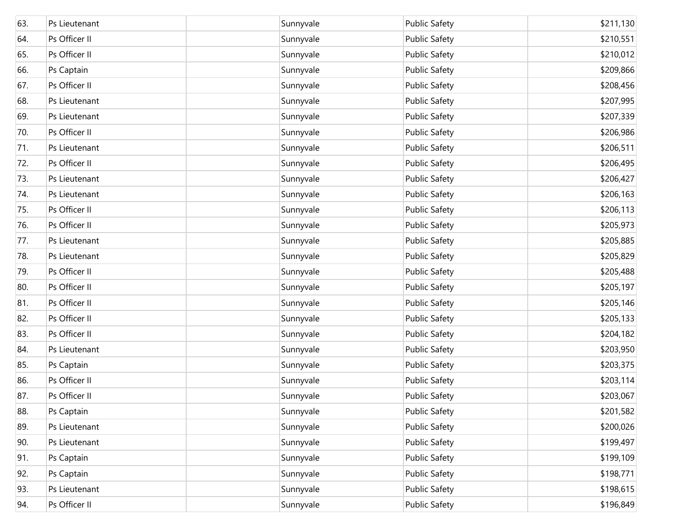| 63. | Ps Lieutenant | Sunnyvale | <b>Public Safety</b> | \$211,130 |
|-----|---------------|-----------|----------------------|-----------|
| 64. | Ps Officer II | Sunnyvale | <b>Public Safety</b> | \$210,551 |
| 65. | Ps Officer II | Sunnyvale | <b>Public Safety</b> | \$210,012 |
| 66. | Ps Captain    | Sunnyvale | <b>Public Safety</b> | \$209,866 |
| 67. | Ps Officer II | Sunnyvale | <b>Public Safety</b> | \$208,456 |
| 68. | Ps Lieutenant | Sunnyvale | <b>Public Safety</b> | \$207,995 |
| 69. | Ps Lieutenant | Sunnyvale | <b>Public Safety</b> | \$207,339 |
| 70. | Ps Officer II | Sunnyvale | <b>Public Safety</b> | \$206,986 |
| 71. | Ps Lieutenant | Sunnyvale | <b>Public Safety</b> | \$206,511 |
| 72. | Ps Officer II | Sunnyvale | <b>Public Safety</b> | \$206,495 |
| 73. | Ps Lieutenant | Sunnyvale | <b>Public Safety</b> | \$206,427 |
| 74. | Ps Lieutenant | Sunnyvale | <b>Public Safety</b> | \$206,163 |
| 75. | Ps Officer II | Sunnyvale | <b>Public Safety</b> | \$206,113 |
| 76. | Ps Officer II | Sunnyvale | <b>Public Safety</b> | \$205,973 |
| 77. | Ps Lieutenant | Sunnyvale | <b>Public Safety</b> | \$205,885 |
| 78. | Ps Lieutenant | Sunnyvale | <b>Public Safety</b> | \$205,829 |
| 79. | Ps Officer II | Sunnyvale | <b>Public Safety</b> | \$205,488 |
| 80. | Ps Officer II | Sunnyvale | <b>Public Safety</b> | \$205,197 |
| 81. | Ps Officer II | Sunnyvale | <b>Public Safety</b> | \$205,146 |
| 82. | Ps Officer II | Sunnyvale | <b>Public Safety</b> | \$205,133 |
| 83. | Ps Officer II | Sunnyvale | <b>Public Safety</b> | \$204,182 |
| 84. | Ps Lieutenant | Sunnyvale | <b>Public Safety</b> | \$203,950 |
| 85. | Ps Captain    | Sunnyvale | <b>Public Safety</b> | \$203,375 |
| 86. | Ps Officer II | Sunnyvale | <b>Public Safety</b> | \$203,114 |
| 87. | Ps Officer II | Sunnyvale | <b>Public Safety</b> | \$203,067 |
| 88. | Ps Captain    | Sunnyvale | <b>Public Safety</b> | \$201,582 |
| 89. | Ps Lieutenant | Sunnyvale | <b>Public Safety</b> | \$200,026 |
| 90. | Ps Lieutenant | Sunnyvale | <b>Public Safety</b> | \$199,497 |
| 91. | Ps Captain    | Sunnyvale | <b>Public Safety</b> | \$199,109 |
| 92. | Ps Captain    | Sunnyvale | <b>Public Safety</b> | \$198,771 |
| 93. | Ps Lieutenant | Sunnyvale | <b>Public Safety</b> | \$198,615 |
| 94. | Ps Officer II | Sunnyvale | <b>Public Safety</b> | \$196,849 |